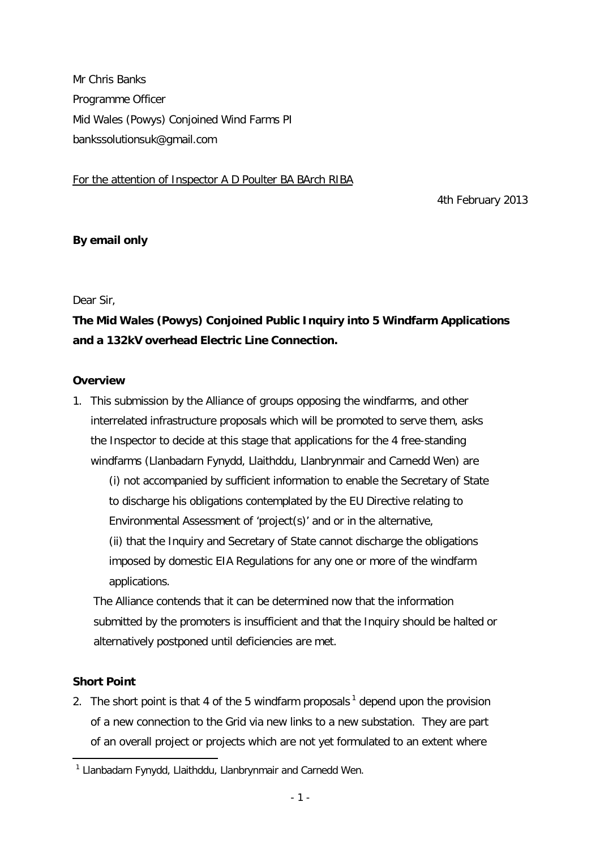Mr Chris Banks Programme Officer Mid Wales (Powys) Conjoined Wind Farms PI [bankssolutionsuk@gmail.com](mailto:bankssolutionsuk@gmail.com)

## For the attention of Inspector A D Poulter BA BArch RIBA

4th February 2013

# **By email only**

#### Dear Sir,

# **The Mid Wales (Powys) Conjoined Public Inquiry into 5 Windfarm Applications and a 132kV overhead Electric Line Connection.**

### **Overview**

- 1. This submission by the Alliance of groups opposing the windfarms, and other interrelated infrastructure proposals which will be promoted to serve them, asks the Inspector to decide at this stage that applications for the 4 free-standing windfarms (Llanbadarn Fynydd, Llaithddu, Llanbrynmair and Carnedd Wen) are
	- (i) not accompanied by sufficient information to enable the Secretary of State to discharge his obligations contemplated by the EU Directive relating to Environmental Assessment of 'project(s)' and or in the alternative,

(ii) that the Inquiry and Secretary of State cannot discharge the obligations imposed by domestic EIA Regulations for any one or more of the windfarm applications.

The Alliance contends that it can be determined now that the information submitted by the promoters is insufficient and that the Inquiry should be halted or alternatively postponed until deficiencies are met.

# **Short Point**

2. The short point is that 4 of the 5 windfarm proposals  $1$  depend upon the provision of a new connection to the Grid via new links to a new substation. They are part of an overall project or projects which are not yet formulated to an extent where

l <sup>1</sup> Llanbadarn Fynydd, Llaithddu, Llanbrynmair and Carnedd Wen.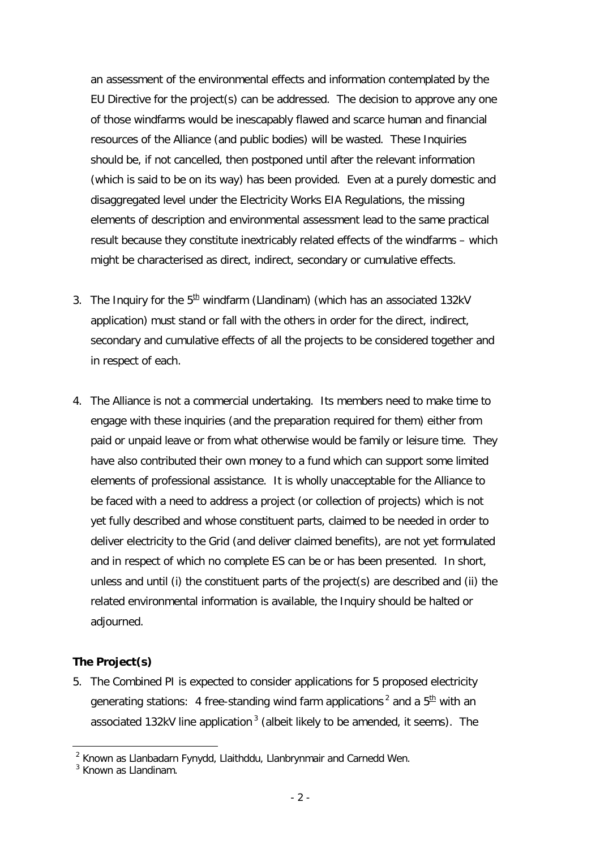an assessment of the environmental effects and information contemplated by the EU Directive for the project(s) can be addressed. The decision to approve any one of those windfarms would be inescapably flawed and scarce human and financial resources of the Alliance (and public bodies) will be wasted. These Inquiries should be, if not cancelled, then postponed until after the relevant information (which is said to be on its way) has been provided. Even at a purely domestic and disaggregated level under the Electricity Works EIA Regulations, the missing elements of description and environmental assessment lead to the same practical result because they constitute inextricably related effects of the windfarms – which might be characterised as direct, indirect, secondary or cumulative effects.

- 3. The Inquiry for the  $5<sup>th</sup>$  windfarm (Llandinam) (which has an associated 132kV application) must stand or fall with the others in order for the direct, indirect, secondary and cumulative effects of all the projects to be considered together and in respect of each.
- 4. The Alliance is not a commercial undertaking. Its members need to make time to engage with these inquiries (and the preparation required for them) either from paid or unpaid leave or from what otherwise would be family or leisure time. They have also contributed their own money to a fund which can support some limited elements of professional assistance. It is wholly unacceptable for the Alliance to be faced with a need to address a project (or collection of projects) which is not yet fully described and whose constituent parts, claimed to be needed in order to deliver electricity to the Grid (and deliver claimed benefits), are not yet formulated and in respect of which no complete ES can be or has been presented. In short, unless and until (i) the constituent parts of the project(s) are described and (ii) the related environmental information is available, the Inquiry should be halted or adjourned.

# **The Project(s)**

l

5. The Combined PI is expected to consider applications for 5 proposed electricity generating stations: 4 free-standing wind farm applications<sup>2</sup> and a  $5<sup>th</sup>$  with an associated 132kV line application<sup>3</sup> (albeit likely to be amended, it seems). The

 $2$  Known as Llanbadarn Fynydd, Llaithddu, Llanbrynmair and Carnedd Wen.

<sup>&</sup>lt;sup>3</sup> Known as Llandinam.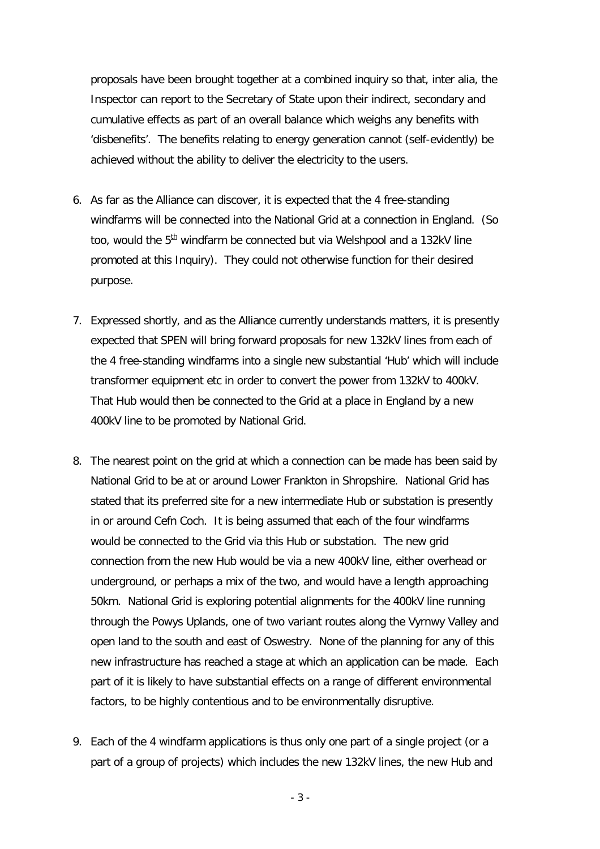proposals have been brought together at a combined inquiry so that*, inter alia*, the Inspector can report to the Secretary of State upon their indirect, secondary and cumulative effects as part of an overall balance which weighs any benefits with 'disbenefits'. The benefits relating to energy generation cannot (self-evidently) be achieved without the ability to deliver the electricity to the users.

- 6. As far as the Alliance can discover, it is expected that the 4 free-standing windfarms will be connected into the National Grid at a connection in England. (So too, would the  $5<sup>th</sup>$  windfarm be connected but via Welshpool and a 132kV line promoted at this Inquiry). They could not otherwise function for their desired purpose.
- 7. Expressed shortly, and as the Alliance currently understands matters, it is presently expected that SPEN will bring forward proposals for new 132kV lines from each of the 4 free-standing windfarms into a single new substantial 'Hub' which will include transformer equipment etc in order to convert the power from 132kV to 400kV. That Hub would then be connected to the Grid at a place in England by a new 400kV line to be promoted by National Grid.
- 8. The nearest point on the grid at which a connection can be made has been said by National Grid to be at or around Lower Frankton in Shropshire. National Grid has stated that its preferred site for a new intermediate Hub or substation is presently in or around Cefn Coch. It is being assumed that each of the four windfarms would be connected to the Grid via this Hub or substation. The new grid connection from the new Hub would be via a new 400kV line, either overhead or underground, or perhaps a mix of the two, and would have a length approaching 50km. National Grid is exploring potential alignments for the 400kV line running through the Powys Uplands, one of two variant routes along the Vyrnwy Valley and open land to the south and east of Oswestry. None of the planning for any of this new infrastructure has reached a stage at which an application can be made. Each part of it is likely to have substantial effects on a range of different environmental factors, to be highly contentious and to be environmentally disruptive.
- 9. Each of the 4 windfarm applications is thus only one part of a single project (or a part of a group of projects) which includes the new 132kV lines, the new Hub and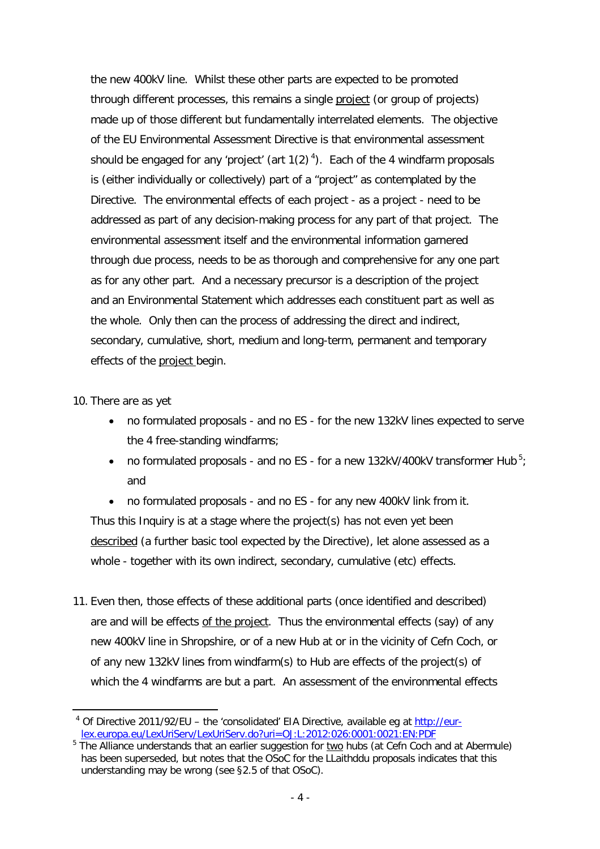the new 400kV line. Whilst these other parts are expected to be promoted through different processes, this remains a single project (or group of projects) made up of those different but fundamentally interrelated elements. The objective of the EU Environmental Assessment Directive is that environmental assessment should be engaged for any 'project' (art  $1(2)^4$ ). Each of the 4 windfarm proposals is (either individually or collectively) part of a "project" as contemplated by the Directive. The environmental effects of each project - as a project - need to be addressed as part of any decision-making process for any part of that project. The environmental assessment itself and the environmental information garnered through due process, needs to be as thorough and comprehensive for any one part as for any other part. And a necessary precursor is a description of the project and an Environmental Statement which addresses each constituent part as well as the whole. Only then can the process of addressing the direct and indirect, secondary, cumulative, short, medium and long-term, permanent and temporary effects of the project begin*.*

10. There are as yet

- no formulated proposals and no ES for the new 132kV lines expected to serve the 4 free-standing windfarms;
- no formulated proposals and no ES for a new 132kV/400kV transformer Hub<sup>5</sup>; and

 no formulated proposals - and no ES - for any new 400kV link from it. Thus this Inquiry is at a stage where the project(s) has not even yet been described (a further basic tool expected by the Directive), let alone assessed as a whole - together with its own indirect, secondary, cumulative (etc) effects.

11. Even then, those effects of these additional parts (once identified and described) are and will be effects of the project. Thus the environmental effects (say) of any new 400kV line in Shropshire, or of a new Hub at or in the vicinity of Cefn Coch, or of any new 132kV lines from windfarm(s) to Hub are effects of the project(s) of which the 4 windfarms are but a part. An assessment of the environmental effects

<sup>-</sup><sup>4</sup> Of Directive 2011/92/EU - the 'consolidated' EIA Directive, available eg at http://eurlex.europa.eu/LexUriServ/LexUriServ.do?uri=OJ:L:2012:026:0001:0021:EN:PDF

 $5$  The Alliance understands that an earlier suggestion for two hubs (at Cefn Coch and at Abermule) has been superseded, but notes that the OSoC for the LLaithddu proposals indicates that this understanding may be wrong (see §2.5 of that OSoC).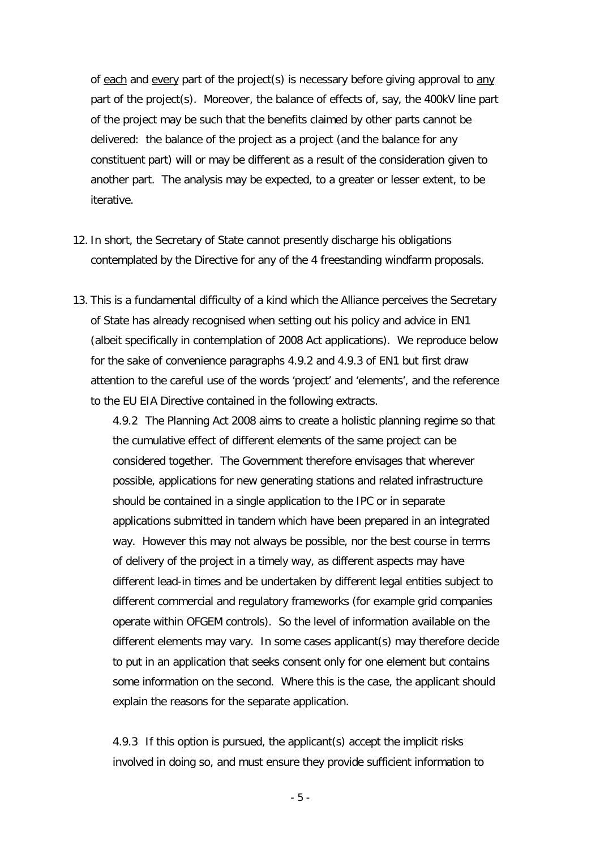of each and every part of the project(s) is necessary before giving approval to any part of the project(s). Moreover, the balance of effects of, say, the 400kV line part of the project may be such that the benefits claimed by other parts cannot be delivered: the balance of the project as a project (and the balance for any constituent part) will or may be different as a result of the consideration given to another part. The analysis may be expected, to a greater or lesser extent, to be iterative.

- 12. In short, the Secretary of State cannot presently discharge his obligations contemplated by the Directive for any of the 4 freestanding windfarm proposals.
- 13. This is a fundamental difficulty of a kind which the Alliance perceives the Secretary of State has already recognised when setting out his policy and advice in EN1 (albeit specifically in contemplation of 2008 Act applications). We reproduce below for the sake of convenience paragraphs 4.9.2 and 4.9.3 of EN1 but first draw attention to the careful use of the words 'project' and 'elements', and the reference to the EU EIA Directive contained in the following extracts.

*4.9.2 The Planning Act 2008 aims to create a holistic planning regime so that the cumulative effect of different elements of the same project can be considered together. The Government therefore envisages that wherever possible, applications for new generating stations and related infrastructure should be contained in a single application to the IPC or in separate applications submitted in tandem which have been prepared in an integrated way. However this may not always be possible, nor the best course in terms of delivery of the project in a timely way, as different aspects may have different lead-in times and be undertaken by different legal entities subject to different commercial and regulatory frameworks (for example grid companies operate within OFGEM controls). So the level of information available on the different elements may vary. In some cases applicant(s) may therefore decide to put in an application that seeks consent only for one element but contains some information on the second. Where this is the case, the applicant should explain the reasons for the separate application.*

*4.9.3 If this option is pursued, the applicant(s) accept the implicit risks involved in doing so, and must ensure they provide sufficient information to*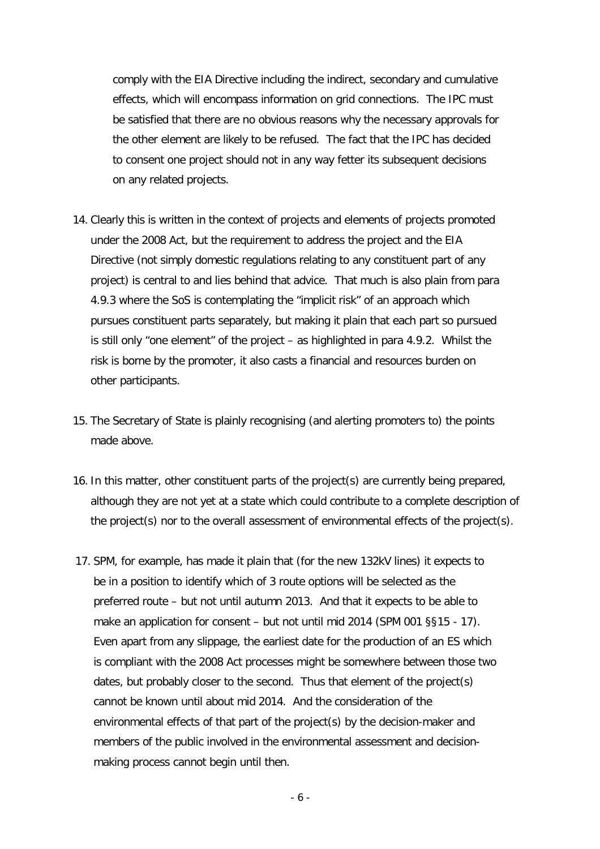*comply with the EIA Directive including the indirect, secondary and cumulative effects, which will encompass information on grid connections. The IPC must be satisfied that there are no obvious reasons why the necessary approvals for the other element are likely to be refused. The fact that the IPC has decided to consent one project should not in any way fetter its subsequent decisions on any related projects.*

- 14. Clearly this is written in the context of projects and elements of projects promoted under the 2008 Act, but the requirement to address the *project* and the *EIA Directive* (not simply domestic regulations relating to any constituent part of any project) is central to and lies behind that advice. That much is also plain from para 4.9.3 where the SoS is contemplating the "*implicit risk"* of an approach which pursues constituent parts separately, but making it plain that each part so pursued is still only "*one element"* of the project – as highlighted in para 4.9.2. Whilst the risk is borne by the promoter, it also casts a financial and resources burden on other participants.
- 15. The Secretary of State is plainly recognising (and alerting promoters to) the points made above.
- 16. In this matter, other constituent parts of the project(s) are currently being prepared, although they are not yet at a state which could contribute to a complete description of the project(s) nor to the overall assessment of environmental effects of the project(s).
- 17. SPM, for example, has made it plain that (for the new 132kV lines) it expects to be in a position to identify which of 3 route options will be selected as the preferred route – but not until autumn 2013. And that it expects to be able to make an application for consent – but not until mid 2014 (SPM 001 §§15 - 17). Even apart from any slippage, the earliest date for the production of an ES which is compliant with the 2008 Act processes might be somewhere between those two dates, but probably closer to the second. Thus that element of the project(s) cannot be known until about mid 2014. And the consideration of the environmental effects of that part of the project(s) by the decision-maker and members of the public involved in the environmental assessment and decisionmaking process cannot begin until then.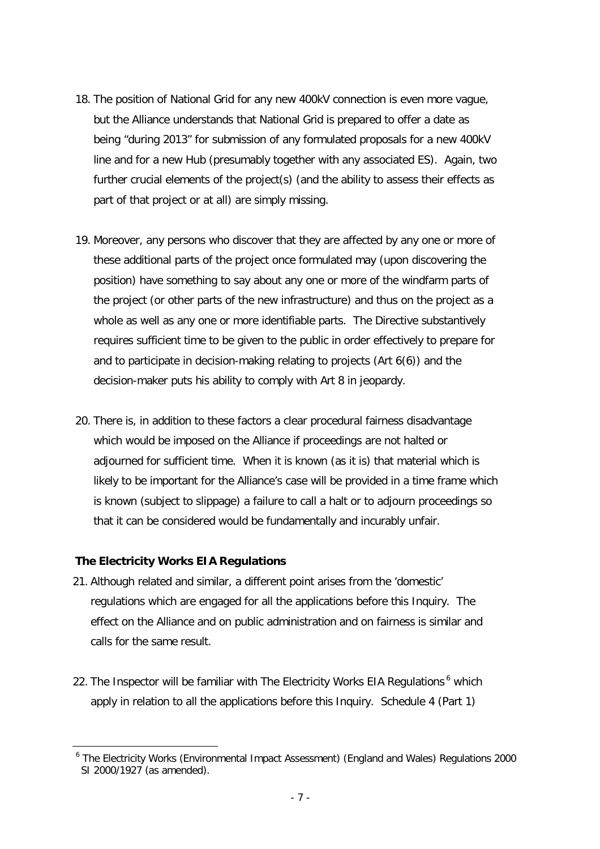- 18. The position of National Grid for any new 400kV connection is even more vague, but the Alliance understands that National Grid is prepared to offer a date as being "during 2013" for submission of any formulated proposals for a new 400kV line and for a new Hub (presumably together with any associated ES). Again, two further crucial elements of the project(s) (and the ability to assess their effects as part of that project or at all) are simply missing.
- 19. Moreover, any persons who discover that they are affected by any one or more of these additional parts of the project once formulated may (upon discovering the position) have something to say about any one or more of the windfarm parts of the project (or other parts of the new infrastructure) and thus on the project as a whole as well as any one or more identifiable parts. The Directive substantively requires sufficient time to be given to the public in order effectively to prepare for and to participate in decision-making relating to projects (Art 6(6)) and the decision-maker puts his ability to comply with Art 8 in jeopardy.
- 20. There is, in addition to these factors a clear procedural fairness disadvantage which would be imposed on the Alliance if proceedings are not halted or adjourned for sufficient time. When it is known (as it is) that material which is likely to be important for the Alliance's case will be provided in a time frame which is known (subject to slippage) a failure to call a halt or to adjourn proceedings so that it can be considered would be fundamentally and incurably unfair.

#### **The Electricity Works EIA Regulations**

l

- 21. Although related and similar, a different point arises from the 'domestic' regulations which are engaged for all the applications before this Inquiry. The effect on the Alliance and on public administration and on fairness is similar and calls for the same result.
- 22. The Inspector will be familiar with The Electricity Works EIA Regulations <sup>6</sup> which apply in relation to all the applications before this Inquiry. Schedule 4 (Part 1)

<sup>&</sup>lt;sup>6</sup> The Electricity Works (Environmental Impact Assessment) (England and Wales) Regulations 2000 SI 2000/1927 (as amended).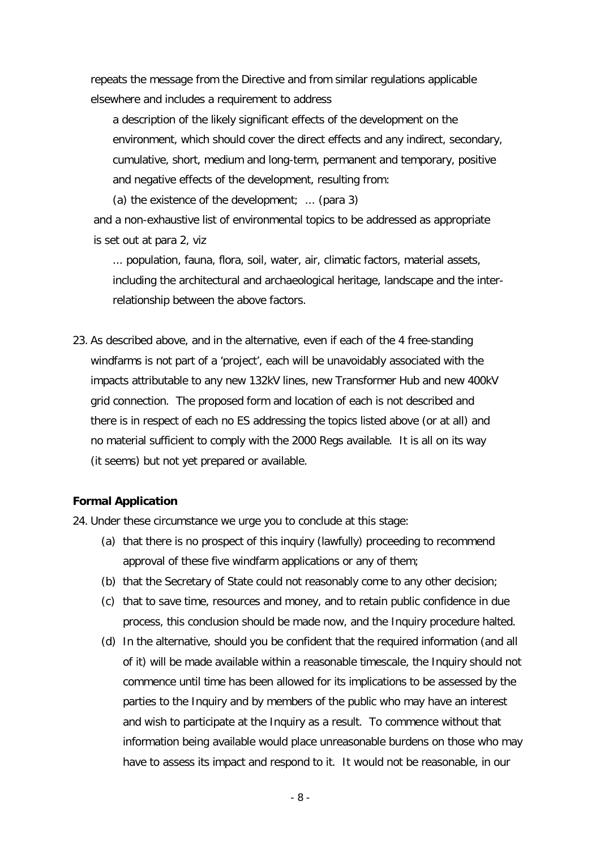repeats the message from the Directive and from similar regulations applicable elsewhere and includes a requirement to address

*a description of the likely significant effects of the development on the environment, which should cover the direct effects and any indirect, secondary, cumulative, short, medium and long-term, permanent and temporary, positive and negative effects of the development, resulting from:* 

*(a) the existence of the development; ...* (para 3) and a non-exhaustive list of environmental topics to be addressed as appropriate is set out at para 2, viz

*... population, fauna, flora, soil, water, air, climatic factors, material assets, including the architectural and archaeological heritage, landscape and the interrelationship between the above factors.*

23. As described above, and in the alternative, even if each of the 4 free-standing windfarms is not part of a 'project', each will be unavoidably associated with the impacts attributable to any new 132kV lines, new Transformer Hub and new 400kV grid connection. The proposed form and location of each is not described and there is in respect of each no ES addressing the topics listed above (or at all) and no material sufficient to comply with the 2000 Regs available. It is all on its way (it seems) but not yet prepared or available.

# **Formal Application**

24. Under these circumstance we urge you to conclude at this stage:

- (a) that there is no prospect of this inquiry (lawfully) proceeding to recommend approval of these five windfarm applications or any of them;
- (b) that the Secretary of State could not reasonably come to any other decision;
- (c) that to save time, resources and money, and to retain public confidence in due process, this conclusion should be made now, and the Inquiry procedure halted.
- (d) In the alternative, should you be confident that the required information (and all of it) will be made available within a reasonable timescale, the Inquiry should not commence until time has been allowed for its implications to be assessed by the parties to the Inquiry and by members of the public who may have an interest and wish to participate at the Inquiry as a result. To commence without that information being available would place unreasonable burdens on those who may have to assess its impact and respond to it. It would not be reasonable, in our